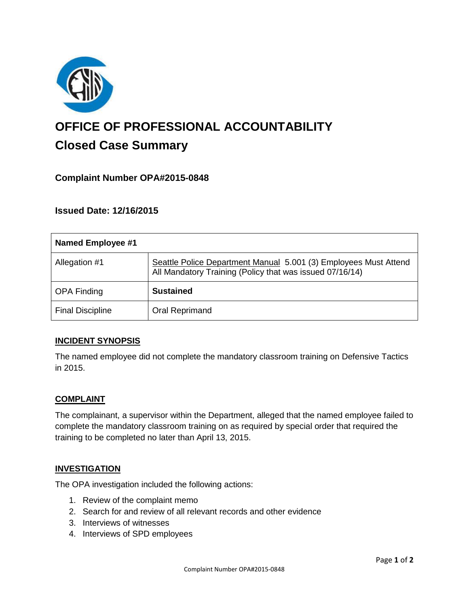

# **OFFICE OF PROFESSIONAL ACCOUNTABILITY Closed Case Summary**

# **Complaint Number OPA#2015-0848**

**Issued Date: 12/16/2015**

| Named Employee #1       |                                                                                                                              |
|-------------------------|------------------------------------------------------------------------------------------------------------------------------|
| Allegation #1           | Seattle Police Department Manual 5.001 (3) Employees Must Attend<br>All Mandatory Training (Policy that was issued 07/16/14) |
| <b>OPA Finding</b>      | <b>Sustained</b>                                                                                                             |
| <b>Final Discipline</b> | Oral Reprimand                                                                                                               |

## **INCIDENT SYNOPSIS**

The named employee did not complete the mandatory classroom training on Defensive Tactics in 2015.

#### **COMPLAINT**

The complainant, a supervisor within the Department, alleged that the named employee failed to complete the mandatory classroom training on as required by special order that required the training to be completed no later than April 13, 2015.

#### **INVESTIGATION**

The OPA investigation included the following actions:

- 1. Review of the complaint memo
- 2. Search for and review of all relevant records and other evidence
- 3. Interviews of witnesses
- 4. Interviews of SPD employees